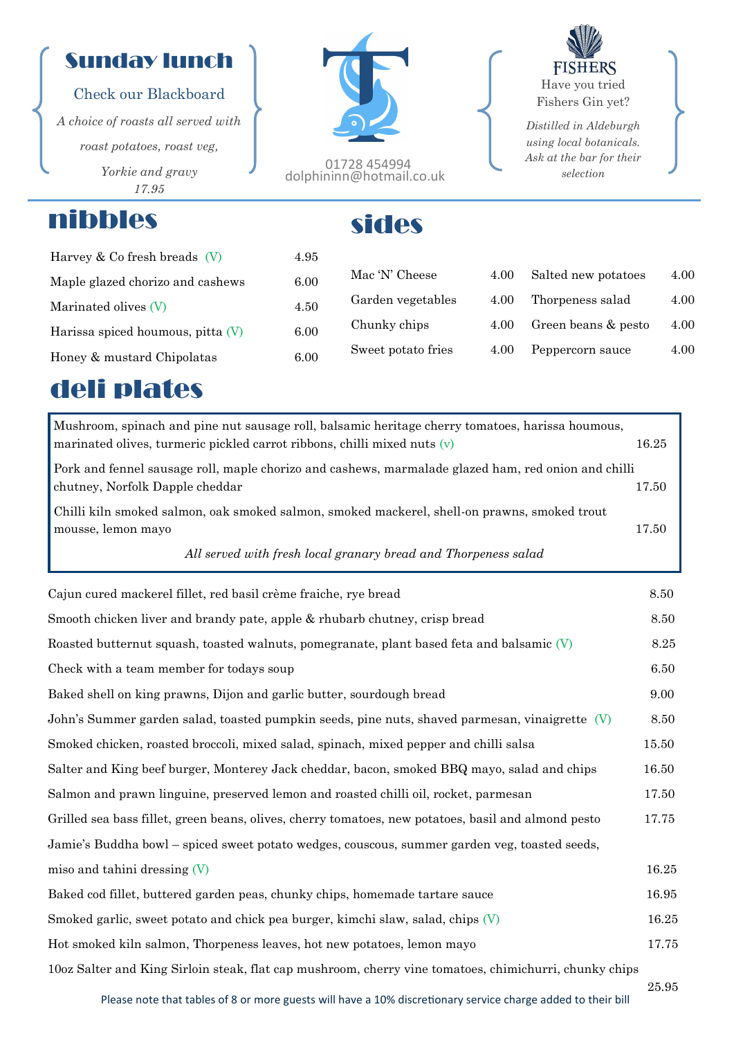## Sunday lunch

#### Check our Blackboard

*A choice of roasts all served with roast potatoes, roast veg, Yorkie and gravy 17.95*

## nibbles sides

01728 454994 dolphininn@hotmail.co.uk

**FISHERS** Have you tried Fishers Gin yet?

*Distilled in Aldeburgh using local botanicals. Ask at the bar for their selection*

| Harvey $& Co$ fresh breads $(V)$<br>4.95    |                    |      |                     |      |
|---------------------------------------------|--------------------|------|---------------------|------|
| Maple glazed chorizo and cashews<br>6.00    | Mac 'N' Cheese     | 4.00 | Salted new potatoes | 4.00 |
| 4.50<br>Marinated olives (V)                | Garden vegetables  | 4.00 | Thorpeness salad    | 4.00 |
| 6.00<br>Harissa spiced houmous, pitta $(V)$ | Chunky chips       | 4.00 | Green beans & pesto | 4.00 |
| 6.00<br>Honey & mustard Chipolatas          | Sweet potato fries | 4.00 | Peppercorn sauce    | 4.00 |
|                                             |                    |      |                     |      |

# deli plates

| Mushroom, spinach and pine nut sausage roll, balsamic heritage cherry tomatoes, harissa houmous,<br>marinated olives, turmeric pickled carrot ribbons, chilli mixed nuts $(v)$ | 16.25 |
|--------------------------------------------------------------------------------------------------------------------------------------------------------------------------------|-------|
| Pork and fennel sausage roll, maple chorizo and cashews, marmalade glazed ham, red onion and chilli<br>chutney, Norfolk Dapple cheddar                                         | 17.50 |
| Chilli kiln smoked salmon, oak smoked salmon, smoked mackerel, shell-on prawns, smoked trout<br>mousse, lemon mayo                                                             | 17.50 |
| All served with fresh local granary bread and Thorpeness salad                                                                                                                 |       |
| Cajun cured mackerel fillet, red basil crème fraiche, rye bread                                                                                                                | 8.50  |
| Smooth chicken liver and brandy pate, apple & rhubarb chutney, crisp bread                                                                                                     | 8.50  |
| Roasted butternut squash, toasted walnuts, pomegranate, plant based feta and balsamic $(V)$                                                                                    | 8.25  |
| Check with a team member for todays soup                                                                                                                                       | 6.50  |
| Baked shell on king prawns, Dijon and garlic butter, sourdough bread                                                                                                           | 9.00  |
| John's Summer garden salad, toasted pumpkin seeds, pine nuts, shaved parmesan, vinaigrette $(V)$                                                                               | 8.50  |
| Smoked chicken, roasted broccoli, mixed salad, spinach, mixed pepper and chilli salsa                                                                                          | 15.50 |
| Salter and King beef burger, Monterey Jack cheddar, bacon, smoked BBQ mayo, salad and chips                                                                                    | 16.50 |
| Salmon and prawn linguine, preserved lemon and roasted chilli oil, rocket, parmesan                                                                                            | 17.50 |
| Grilled sea bass fillet, green beans, olives, cherry tomatoes, new potatoes, basil and almond pesto                                                                            | 17.75 |
| Jamie's Buddha bowl – spiced sweet potato wedges, couscous, summer garden veg, toasted seeds,                                                                                  |       |
| miso and tahini dressing $(V)$                                                                                                                                                 | 16.25 |
| Baked cod fillet, buttered garden peas, chunky chips, homemade tartare sauce                                                                                                   | 16.95 |
| Smoked garlic, sweet potato and chick pea burger, kimchi slaw, salad, chips $(V)$                                                                                              | 16.25 |
| Hot smoked kiln salmon, Thorpeness leaves, hot new potatoes, lemon mayo                                                                                                        | 17.75 |
| 100z Salter and King Sirloin steak, flat cap mushroom, cherry vine tomatoes, chimichurri, chunky chips                                                                         |       |